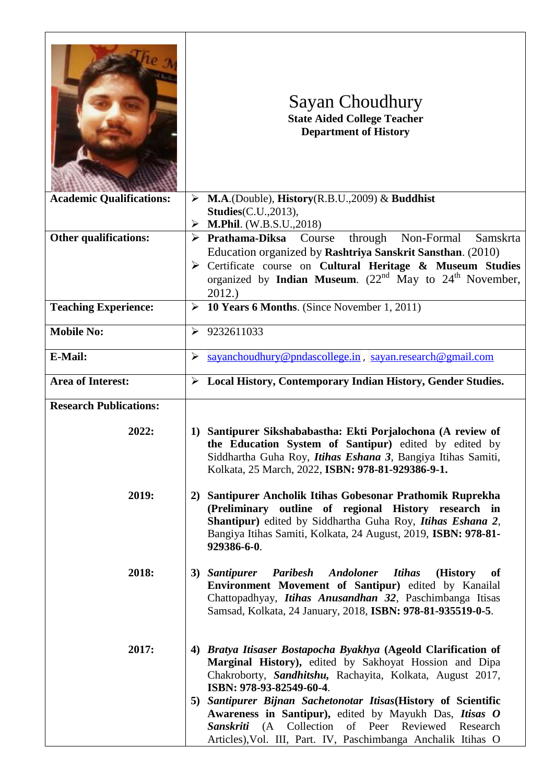|                                 | Sayan Choudhury<br><b>State Aided College Teacher</b><br><b>Department of History</b>                                                                                                                                                                                              |
|---------------------------------|------------------------------------------------------------------------------------------------------------------------------------------------------------------------------------------------------------------------------------------------------------------------------------|
| <b>Academic Qualifications:</b> | $MA.(Double), History(R.B.U., 2009) \& Buddha$<br>➤<br><b>Studies</b> (C.U., 2013),<br><b>M.Phil.</b> (W.B.S.U.,2018)<br>➤                                                                                                                                                         |
| <b>Other qualifications:</b>    | $\triangleright$ Prathama-Diksa Course<br>through Non-Formal<br>Samskrta                                                                                                                                                                                                           |
|                                 | Education organized by Rashtriya Sanskrit Sansthan. (2010)                                                                                                                                                                                                                         |
|                                 | > Certificate course on Cultural Heritage & Museum Studies<br>organized by <b>Indian Museum</b> . $(22^{nd}$ May to $24^{th}$ November,                                                                                                                                            |
|                                 | 2012.)                                                                                                                                                                                                                                                                             |
| <b>Teaching Experience:</b>     | 10 Years 6 Months. (Since November 1, 2011)<br>➤                                                                                                                                                                                                                                   |
| <b>Mobile No:</b>               | 9232611033<br>➤                                                                                                                                                                                                                                                                    |
| E-Mail:                         | sayanchoudhury@pndascollege.in, sayan.research@gmail.com<br>➤                                                                                                                                                                                                                      |
| <b>Area of Interest:</b>        | > Local History, Contemporary Indian History, Gender Studies.                                                                                                                                                                                                                      |
| <b>Research Publications:</b>   |                                                                                                                                                                                                                                                                                    |
| 2022:                           | Santipurer Sikshababastha: Ekti Porjalochona (A review of<br>1)<br>the Education System of Santipur) edited by edited by<br>Siddhartha Guha Roy, <i>Itihas Eshana 3</i> , Bangiya Itihas Samiti,<br>Kolkata, 25 March, 2022, ISBN: 978-81-929386-9-1.                              |
| 2019:                           | Santipurer Ancholik Itihas Gobesonar Prathomik Ruprekha<br>2)<br>(Preliminary outline of regional History research in<br>Shantipur) edited by Siddhartha Guha Roy, Itihas Eshana 2,<br>Bangiya Itihas Samiti, Kolkata, 24 August, 2019, ISBN: 978-81-<br>929386-6-0.               |
| 2018:                           | <b>Paribesh</b><br><b>Andoloner</b><br><b>Itihas</b><br>(History<br>3) Santipurer<br>of<br>Environment Movement of Santipur) edited by Kanailal<br>Chattopadhyay, <i>Itihas Anusandhan 32</i> , Paschimbanga Itisas<br>Samsad, Kolkata, 24 January, 2018, ISBN: 978-81-935519-0-5. |
| 2017:                           | Bratya Itisaser Bostapocha Byakhya (Ageold Clarification of<br>4)<br>Marginal History), edited by Sakhoyat Hossion and Dipa<br>Chakroborty, Sandhitshu, Rachayita, Kolkata, August 2017,<br>ISBN: 978-93-82549-60-4.                                                               |
|                                 | 5) Santipurer Bijnan Sachetonotar Itisas (History of Scientific<br>Awareness in Santipur), edited by Mayukh Das, Itisas O                                                                                                                                                          |
|                                 | Sanskriti (A Collection<br>of Peer Reviewed<br>Research                                                                                                                                                                                                                            |
|                                 | Articles), Vol. III, Part. IV, Paschimbanga Anchalik Itihas O                                                                                                                                                                                                                      |